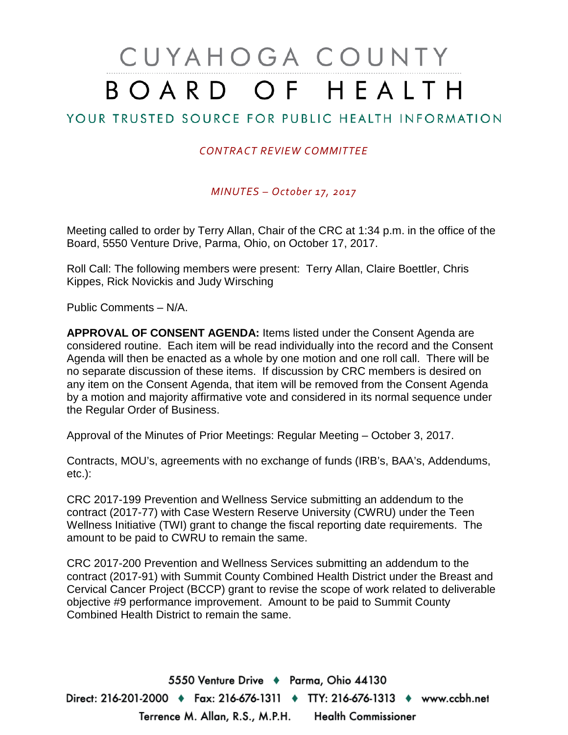# CUYAHOGA COUNTY BOARD OF HEALTH

# YOUR TRUSTED SOURCE FOR PUBLIC HEALTH INFORMATION

#### *CONTRACT REVIEW COMMITTEE*

*MINUTES – October 17, 2017*

Meeting called to order by Terry Allan, Chair of the CRC at 1:34 p.m. in the office of the Board, 5550 Venture Drive, Parma, Ohio, on October 17, 2017.

Roll Call: The following members were present: Terry Allan, Claire Boettler, Chris Kippes, Rick Novickis and Judy Wirsching

Public Comments – N/A.

**APPROVAL OF CONSENT AGENDA:** Items listed under the Consent Agenda are considered routine. Each item will be read individually into the record and the Consent Agenda will then be enacted as a whole by one motion and one roll call. There will be no separate discussion of these items. If discussion by CRC members is desired on any item on the Consent Agenda, that item will be removed from the Consent Agenda by a motion and majority affirmative vote and considered in its normal sequence under the Regular Order of Business.

Approval of the Minutes of Prior Meetings: Regular Meeting – October 3, 2017.

Contracts, MOU's, agreements with no exchange of funds (IRB's, BAA's, Addendums, etc.):

CRC 2017-199 Prevention and Wellness Service submitting an addendum to the contract (2017-77) with Case Western Reserve University (CWRU) under the Teen Wellness Initiative (TWI) grant to change the fiscal reporting date requirements. The amount to be paid to CWRU to remain the same.

CRC 2017-200 Prevention and Wellness Services submitting an addendum to the contract (2017-91) with Summit County Combined Health District under the Breast and Cervical Cancer Project (BCCP) grant to revise the scope of work related to deliverable objective #9 performance improvement. Amount to be paid to Summit County Combined Health District to remain the same.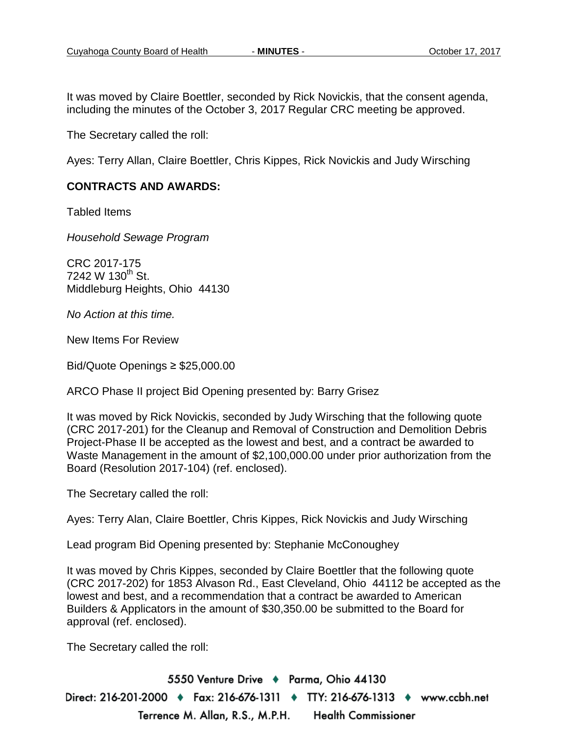It was moved by Claire Boettler, seconded by Rick Novickis, that the consent agenda, including the minutes of the October 3, 2017 Regular CRC meeting be approved.

The Secretary called the roll:

Ayes: Terry Allan, Claire Boettler, Chris Kippes, Rick Novickis and Judy Wirsching

#### **CONTRACTS AND AWARDS:**

Tabled Items

*Household Sewage Program*

CRC 2017-175  $7242 \text{ W } 130^{\text{th}}$  St. Middleburg Heights, Ohio 44130

*No Action at this time.*

New Items For Review

Bid/Quote Openings ≥ \$25,000.00

ARCO Phase II project Bid Opening presented by: Barry Grisez

It was moved by Rick Novickis, seconded by Judy Wirsching that the following quote (CRC 2017-201) for the Cleanup and Removal of Construction and Demolition Debris Project-Phase II be accepted as the lowest and best, and a contract be awarded to Waste Management in the amount of \$2,100,000.00 under prior authorization from the Board (Resolution 2017-104) (ref. enclosed).

The Secretary called the roll:

Ayes: Terry Alan, Claire Boettler, Chris Kippes, Rick Novickis and Judy Wirsching

Lead program Bid Opening presented by: Stephanie McConoughey

It was moved by Chris Kippes, seconded by Claire Boettler that the following quote (CRC 2017-202) for 1853 Alvason Rd., East Cleveland, Ohio 44112 be accepted as the lowest and best, and a recommendation that a contract be awarded to American Builders & Applicators in the amount of \$30,350.00 be submitted to the Board for approval (ref. enclosed).

The Secretary called the roll: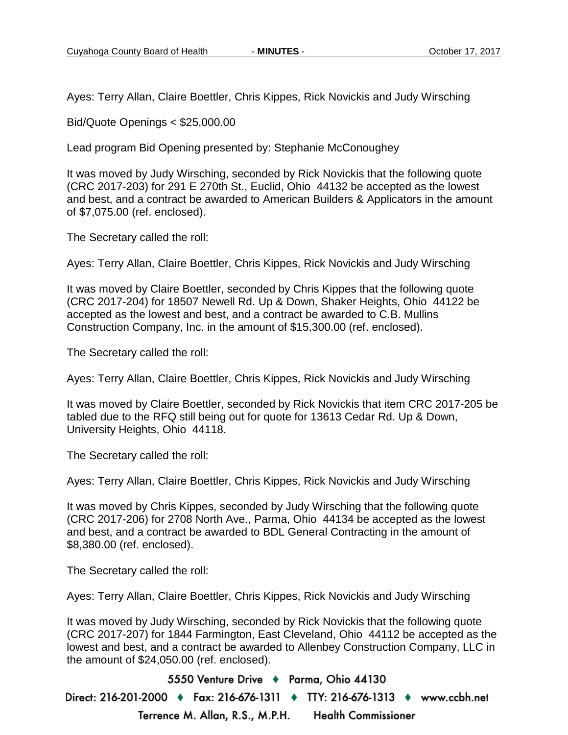Ayes: Terry Allan, Claire Boettler, Chris Kippes, Rick Novickis and Judy Wirsching

Bid/Quote Openings < \$25,000.00

Lead program Bid Opening presented by: Stephanie McConoughey

It was moved by Judy Wirsching, seconded by Rick Novickis that the following quote (CRC 2017-203) for 291 E 270th St., Euclid, Ohio 44132 be accepted as the lowest and best, and a contract be awarded to American Builders & Applicators in the amount of \$7,075.00 (ref. enclosed).

The Secretary called the roll:

Ayes: Terry Allan, Claire Boettler, Chris Kippes, Rick Novickis and Judy Wirsching

It was moved by Claire Boettler, seconded by Chris Kippes that the following quote (CRC 2017-204) for 18507 Newell Rd. Up & Down, Shaker Heights, Ohio 44122 be accepted as the lowest and best, and a contract be awarded to C.B. Mullins Construction Company, Inc. in the amount of \$15,300.00 (ref. enclosed).

The Secretary called the roll:

Ayes: Terry Allan, Claire Boettler, Chris Kippes, Rick Novickis and Judy Wirsching

It was moved by Claire Boettler, seconded by Rick Novickis that item CRC 2017-205 be tabled due to the RFQ still being out for quote for 13613 Cedar Rd. Up & Down, University Heights, Ohio 44118.

The Secretary called the roll:

Ayes: Terry Allan, Claire Boettler, Chris Kippes, Rick Novickis and Judy Wirsching

It was moved by Chris Kippes, seconded by Judy Wirsching that the following quote (CRC 2017-206) for 2708 North Ave., Parma, Ohio 44134 be accepted as the lowest and best, and a contract be awarded to BDL General Contracting in the amount of \$8,380.00 (ref. enclosed).

The Secretary called the roll:

Ayes: Terry Allan, Claire Boettler, Chris Kippes, Rick Novickis and Judy Wirsching

It was moved by Judy Wirsching, seconded by Rick Novickis that the following quote (CRC 2017-207) for 1844 Farmington, East Cleveland, Ohio 44112 be accepted as the lowest and best, and a contract be awarded to Allenbey Construction Company, LLC in the amount of \$24,050.00 (ref. enclosed).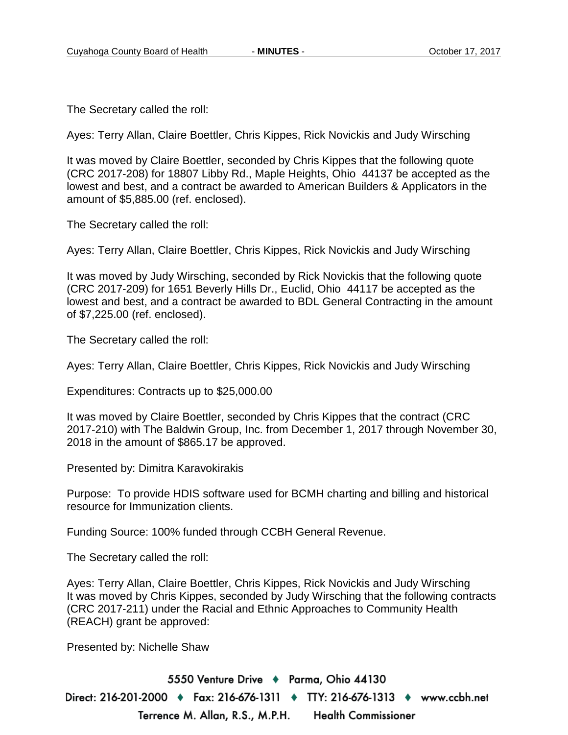The Secretary called the roll:

Ayes: Terry Allan, Claire Boettler, Chris Kippes, Rick Novickis and Judy Wirsching

It was moved by Claire Boettler, seconded by Chris Kippes that the following quote (CRC 2017-208) for 18807 Libby Rd., Maple Heights, Ohio 44137 be accepted as the lowest and best, and a contract be awarded to American Builders & Applicators in the amount of \$5,885.00 (ref. enclosed).

The Secretary called the roll:

Ayes: Terry Allan, Claire Boettler, Chris Kippes, Rick Novickis and Judy Wirsching

It was moved by Judy Wirsching, seconded by Rick Novickis that the following quote (CRC 2017-209) for 1651 Beverly Hills Dr., Euclid, Ohio 44117 be accepted as the lowest and best, and a contract be awarded to BDL General Contracting in the amount of \$7,225.00 (ref. enclosed).

The Secretary called the roll:

Ayes: Terry Allan, Claire Boettler, Chris Kippes, Rick Novickis and Judy Wirsching

Expenditures: Contracts up to \$25,000.00

It was moved by Claire Boettler, seconded by Chris Kippes that the contract (CRC 2017-210) with The Baldwin Group, Inc. from December 1, 2017 through November 30, 2018 in the amount of \$865.17 be approved.

Presented by: Dimitra Karavokirakis

Purpose: To provide HDIS software used for BCMH charting and billing and historical resource for Immunization clients.

Funding Source: 100% funded through CCBH General Revenue.

The Secretary called the roll:

Ayes: Terry Allan, Claire Boettler, Chris Kippes, Rick Novickis and Judy Wirsching It was moved by Chris Kippes, seconded by Judy Wirsching that the following contracts (CRC 2017-211) under the Racial and Ethnic Approaches to Community Health (REACH) grant be approved:

Presented by: Nichelle Shaw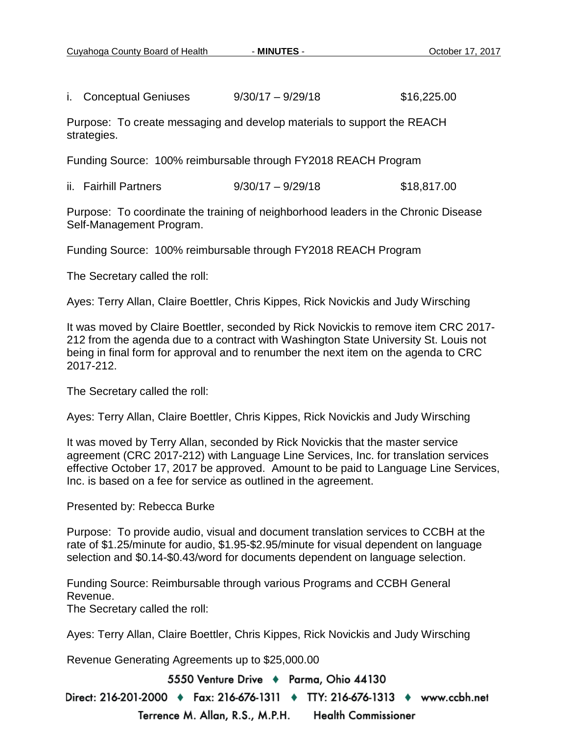i. Conceptual Geniuses 9/30/17 – 9/29/18 \$16,225.00

Purpose: To create messaging and develop materials to support the REACH strategies.

Funding Source: 100% reimbursable through FY2018 REACH Program

ii. Fairhill Partners  $9/30/17 - 9/29/18$  \$18.817.00

Purpose: To coordinate the training of neighborhood leaders in the Chronic Disease Self-Management Program.

Funding Source: 100% reimbursable through FY2018 REACH Program

The Secretary called the roll:

Ayes: Terry Allan, Claire Boettler, Chris Kippes, Rick Novickis and Judy Wirsching

It was moved by Claire Boettler, seconded by Rick Novickis to remove item CRC 2017- 212 from the agenda due to a contract with Washington State University St. Louis not being in final form for approval and to renumber the next item on the agenda to CRC 2017-212.

The Secretary called the roll:

Ayes: Terry Allan, Claire Boettler, Chris Kippes, Rick Novickis and Judy Wirsching

It was moved by Terry Allan, seconded by Rick Novickis that the master service agreement (CRC 2017-212) with Language Line Services, Inc. for translation services effective October 17, 2017 be approved. Amount to be paid to Language Line Services, Inc. is based on a fee for service as outlined in the agreement.

Presented by: Rebecca Burke

Purpose: To provide audio, visual and document translation services to CCBH at the rate of \$1.25/minute for audio, \$1.95-\$2.95/minute for visual dependent on language selection and \$0.14-\$0.43/word for documents dependent on language selection.

Funding Source: Reimbursable through various Programs and CCBH General Revenue.

The Secretary called the roll:

Ayes: Terry Allan, Claire Boettler, Chris Kippes, Rick Novickis and Judy Wirsching

Revenue Generating Agreements up to \$25,000.00

5550 Venture Drive + Parma, Ohio 44130

Direct: 216-201-2000 ♦ Fax: 216-676-1311 ♦ TTY: 216-676-1313 ♦ www.ccbh.net

Terrence M. Allan, R.S., M.P.H. **Health Commissioner**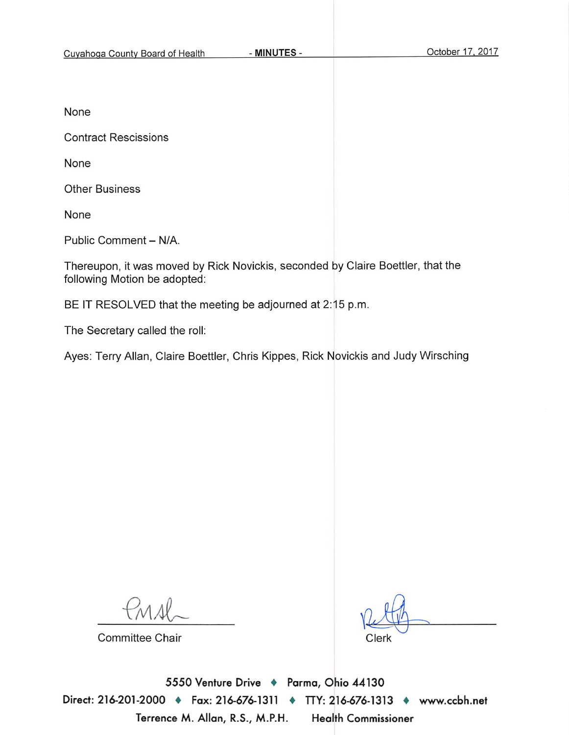None

**Contract Rescissions** 

None

**Other Business** 

None

Public Comment - N/A.

Thereupon, it was moved by Rick Novickis, seconded by Claire Boettler, that the following Motion be adopted:

BE IT RESOLVED that the meeting be adjourned at 2:15 p.m.

The Secretary called the roll:

Ayes: Terry Allan, Claire Boettler, Chris Kippes, Rick Novickis and Judy Wirsching

**Committee Chair** 

Clerk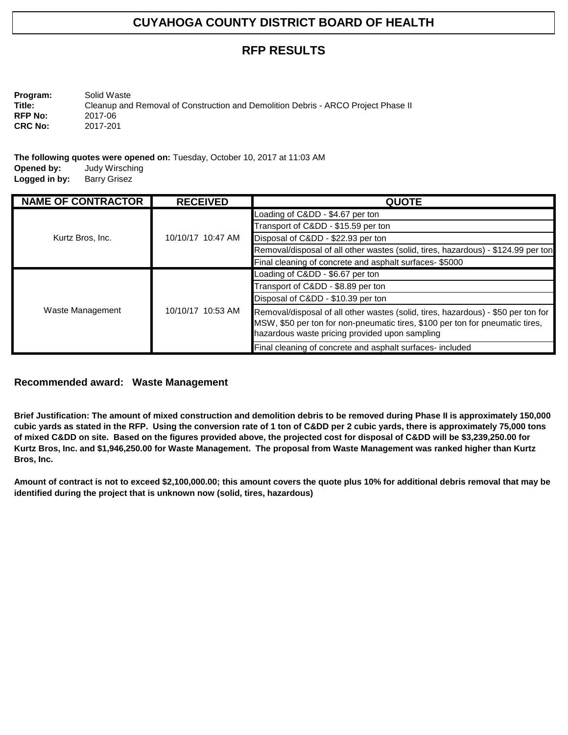# **RFP RESULTS**

**Program:** Solid Waste<br> **Title:** Cleanup and Cleanup and Removal of Construction and Demolition Debris - ARCO Project Phase II<br>2017-06 **RFP No:** 2017-06<br>**CRC No:** 2017-201 **CRC No:** 

**The following quotes were opened on:** Tuesday, October 10, 2017 at 11:03 AM **Opened by:** Judy Wirsching **Judy Wirsching**<br>Barry Grisez

**Logged in by:** 

| <b>NAME OF CONTRACTOR</b> | <b>RECEIVED</b>   | <b>QUOTE</b>                                                                                                                                                                                                         |
|---------------------------|-------------------|----------------------------------------------------------------------------------------------------------------------------------------------------------------------------------------------------------------------|
|                           |                   | Loading of Cⅅ - \$4.67 per ton                                                                                                                                                                                       |
|                           |                   | Transport of Cⅅ - \$15.59 per ton                                                                                                                                                                                    |
| Kurtz Bros, Inc.          | 10/10/17 10:47 AM | Disposal of Cⅅ - \$22.93 per ton                                                                                                                                                                                     |
|                           |                   | Removal/disposal of all other wastes (solid, tires, hazardous) - \$124.99 per ton                                                                                                                                    |
|                           |                   | Final cleaning of concrete and asphalt surfaces- \$5000                                                                                                                                                              |
|                           | 10/10/17 10:53 AM | Loading of Cⅅ - \$6.67 per ton                                                                                                                                                                                       |
|                           |                   | Transport of Cⅅ - \$8.89 per ton                                                                                                                                                                                     |
|                           |                   | Disposal of Cⅅ - \$10.39 per ton                                                                                                                                                                                     |
| Waste Management          |                   | Removal/disposal of all other wastes (solid, tires, hazardous) - \$50 per ton for<br>MSW, \$50 per ton for non-pneumatic tires, \$100 per ton for pneumatic tires,<br>hazardous waste pricing provided upon sampling |
|                           |                   | Final cleaning of concrete and asphalt surfaces-included                                                                                                                                                             |

#### **Recommended award: Waste Management**

**Brief Justification: The amount of mixed construction and demolition debris to be removed during Phase II is approximately 150,000 cubic yards as stated in the RFP. Using the conversion rate of 1 ton of C&DD per 2 cubic yards, there is approximately 75,000 tons of mixed C&DD on site. Based on the figures provided above, the projected cost for disposal of C&DD will be \$3,239,250.00 for Kurtz Bros, Inc. and \$1,946,250.00 for Waste Management. The proposal from Waste Management was ranked higher than Kurtz Bros, Inc.**

**Amount of contract is not to exceed \$2,100,000.00; this amount covers the quote plus 10% for additional debris removal that may be identified during the project that is unknown now (solid, tires, hazardous)**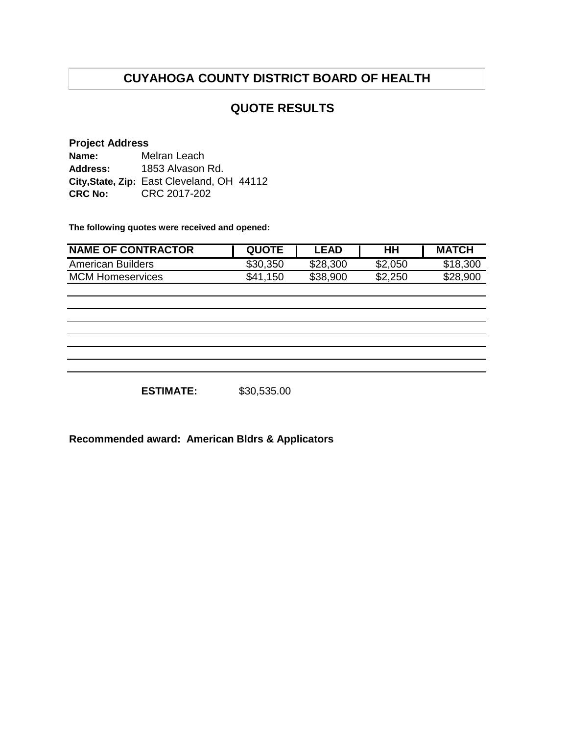## **QUOTE RESULTS**

#### **Project Address**

**Name: Address: City,State, Zip:** East Cleveland, OH 44112 **CRC No:** CRC 2017-202 Melran Leach 1853 Alvason Rd.

**The following quotes were received and opened:**

| <b>NAME OF CONTRACTOR</b> | <b>QUOTE</b> | .EAD     | HН      | <b>MATCH</b> |
|---------------------------|--------------|----------|---------|--------------|
| American Builders         | \$30,350     | \$28,300 | \$2,050 | \$18,300     |
| <b>MCM Homeservices</b>   | \$41<br>.150 | \$38,900 | \$2,250 | \$28,900     |

**ESTIMATE:** \$30,535.00

**Recommended award: American Bldrs & Applicators**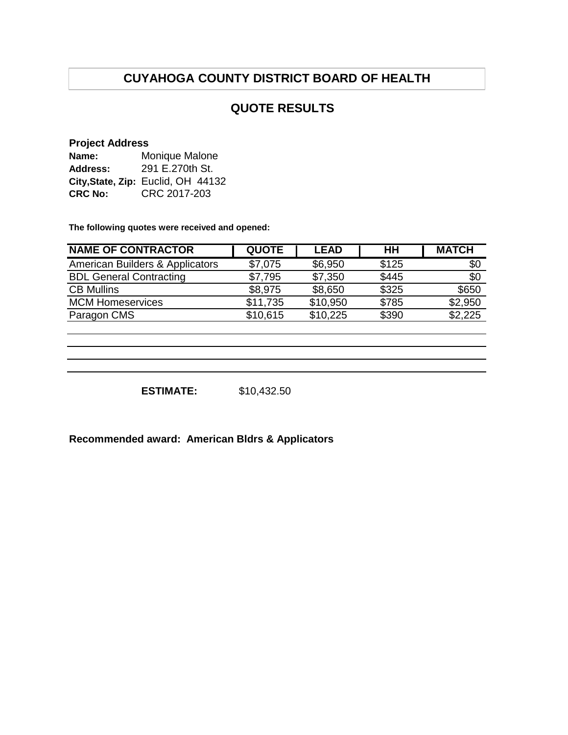# **QUOTE RESULTS**

#### **Project Address**

| Name:          | Monique Malone                     |  |  |  |
|----------------|------------------------------------|--|--|--|
| Address:       | 291 E.270th St.                    |  |  |  |
|                | City, State, Zip: Euclid, OH 44132 |  |  |  |
| <b>CRC No:</b> | CRC 2017-203                       |  |  |  |

**The following quotes were received and opened:**

| <b>NAME OF CONTRACTOR</b>       | <b>QUOTE</b> | <b>LEAD</b> | HН    | <b>MATCH</b> |
|---------------------------------|--------------|-------------|-------|--------------|
| American Builders & Applicators | \$7,075      | \$6,950     | \$125 | \$0          |
| <b>BDL General Contracting</b>  | \$7,795      | \$7,350     | \$445 | \$0          |
| <b>CB Mullins</b>               | \$8,975      | \$8,650     | \$325 | \$650        |
| <b>MCM Homeservices</b>         | \$11,735     | \$10,950    | \$785 | \$2,950      |
| Paragon CMS                     | \$10,615     | \$10,225    | \$390 | \$2,225      |

**ESTIMATE:** \$10,432.50

**Recommended award: American Bldrs & Applicators**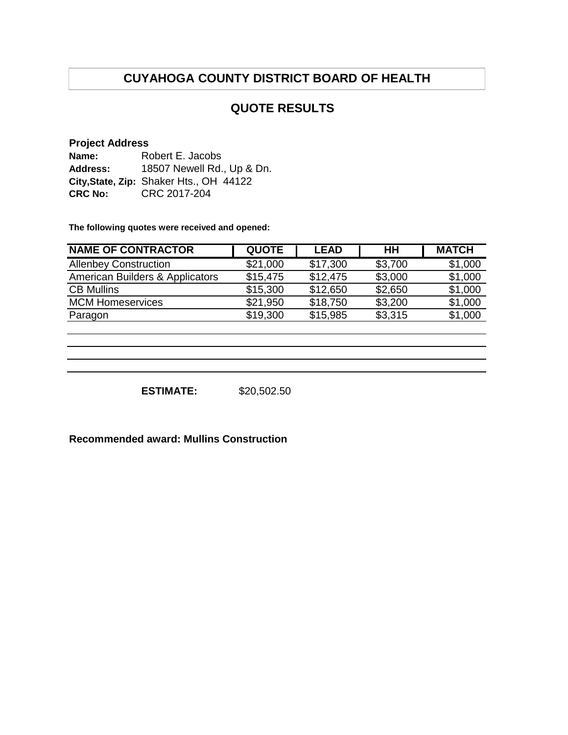## **QUOTE RESULTS**

#### **Project Address**

| Name:          | Robert E. Jacobs                        |
|----------------|-----------------------------------------|
| Address:       | 18507 Newell Rd., Up & Dn.              |
|                | City, State, Zip: Shaker Hts., OH 44122 |
| <b>CRC No:</b> | CRC 2017-204                            |

**The following quotes were received and opened:**

| <b>NAME OF CONTRACTOR</b>       | <b>QUOTE</b> | <b>LEAD</b> | HН      | <b>MATCH</b> |
|---------------------------------|--------------|-------------|---------|--------------|
| <b>Allenbey Construction</b>    | \$21,000     | \$17,300    | \$3,700 | \$1,000      |
| American Builders & Applicators | \$15,475     | \$12,475    | \$3,000 | \$1,000      |
| <b>CB Mullins</b>               | \$15,300     | \$12,650    | \$2,650 | \$1,000      |
| <b>MCM Homeservices</b>         | \$21,950     | \$18,750    | \$3,200 | \$1,000      |
| Paragon                         | \$19,300     | \$15,985    | \$3,315 | \$1,000      |

**ESTIMATE:** \$20,502.50

**Recommended award: Mullins Construction**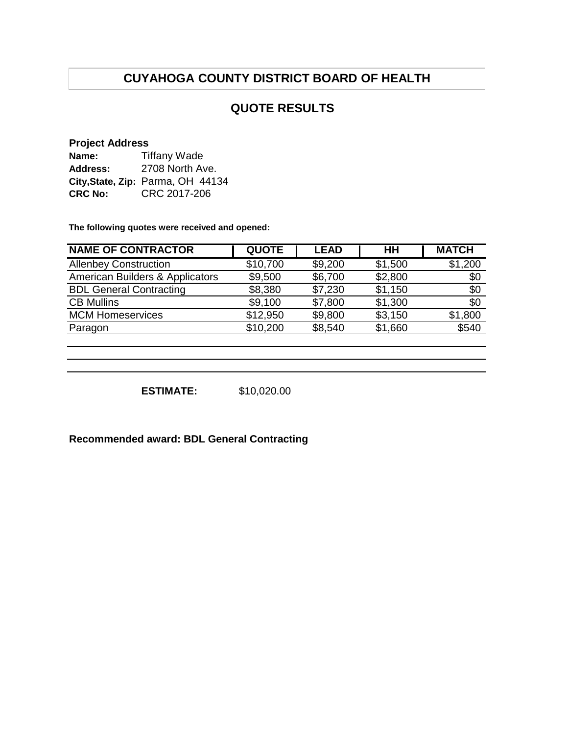## **QUOTE RESULTS**

#### **Project Address**

| Name:          | <b>Tiffany Wade</b>               |  |  |  |
|----------------|-----------------------------------|--|--|--|
| Address:       | 2708 North Ave.                   |  |  |  |
|                | City, State, Zip: Parma, OH 44134 |  |  |  |
| <b>CRC No:</b> | CRC 2017-206                      |  |  |  |

**The following quotes were received and opened:**

| <b>NAME OF CONTRACTOR</b>       | <b>QUOTE</b> | <b>LEAD</b> | HH      | <b>MATCH</b> |
|---------------------------------|--------------|-------------|---------|--------------|
| <b>Allenbey Construction</b>    | \$10,700     | \$9,200     | \$1,500 | \$1,200      |
| American Builders & Applicators | \$9,500      | \$6,700     | \$2,800 | \$0          |
| <b>BDL General Contracting</b>  | \$8,380      | \$7,230     | \$1,150 | \$0          |
| <b>CB Mullins</b>               | \$9,100      | \$7,800     | \$1,300 | \$0          |
| <b>MCM Homeservices</b>         | \$12,950     | \$9,800     | \$3,150 | \$1,800      |
| Paragon                         | \$10,200     | \$8,540     | \$1,660 | \$540        |
|                                 |              |             |         |              |

**ESTIMATE:** \$10,020.00

**Recommended award: BDL General Contracting**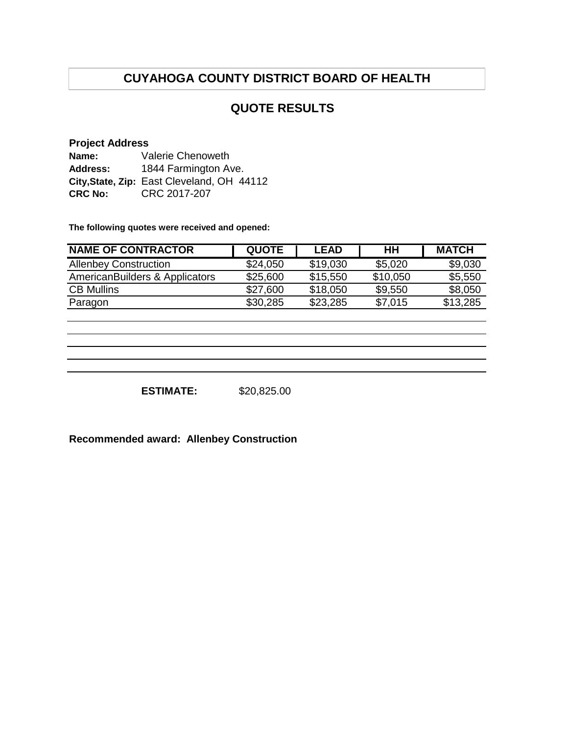# **QUOTE RESULTS**

### **Project Address**

| Name:          | Valerie Chenoweth                          |  |  |
|----------------|--------------------------------------------|--|--|
| Address:       | 1844 Farmington Ave.                       |  |  |
|                | City, State, Zip: East Cleveland, OH 44112 |  |  |
| <b>CRC No:</b> | CRC 2017-207                               |  |  |

**The following quotes were received and opened:**

| <b>NAME OF CONTRACTOR</b>      | <b>QUOTE</b> | <b>LEAD</b> | HН       | <b>MATCH</b> |
|--------------------------------|--------------|-------------|----------|--------------|
| <b>Allenbey Construction</b>   | \$24,050     | \$19,030    | \$5,020  | \$9,030      |
| AmericanBuilders & Applicators | \$25,600     | \$15,550    | \$10,050 | \$5,550      |
| <b>CB Mullins</b>              | \$27,600     | \$18,050    | \$9,550  | \$8,050      |
| Paragon                        | \$30,285     | \$23,285    | \$7,015  | \$13,285     |

**ESTIMATE:** \$20,825.00

**Recommended award: Allenbey Construction**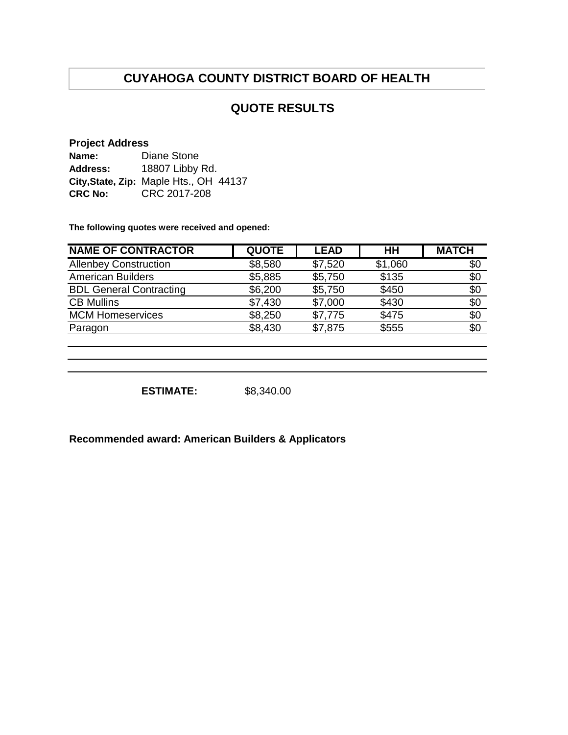# **QUOTE RESULTS**

#### **Project Address**

| Name:          | Diane Stone                            |
|----------------|----------------------------------------|
| Address:       | 18807 Libby Rd.                        |
|                | City, State, Zip: Maple Hts., OH 44137 |
| <b>CRC No:</b> | CRC 2017-208                           |

**The following quotes were received and opened:**

| <b>NAME OF CONTRACTOR</b>      | <b>QUOTE</b> | <b>LEAD</b> | HН      | <b>MATCH</b> |
|--------------------------------|--------------|-------------|---------|--------------|
| <b>Allenbey Construction</b>   | \$8,580      | \$7,520     | \$1,060 | \$0          |
| <b>American Builders</b>       | \$5,885      | \$5,750     | \$135   | \$0          |
| <b>BDL General Contracting</b> | \$6,200      | \$5,750     | \$450   | \$0          |
| <b>CB Mullins</b>              | \$7,430      | \$7,000     | \$430   | \$0          |
| <b>MCM Homeservices</b>        | \$8,250      | \$7,775     | \$475   | \$0          |
| Paragon                        | \$8,430      | \$7,875     | \$555   | \$0          |
|                                |              |             |         |              |

**ESTIMATE:** \$8,340.00

**Recommended award: American Builders & Applicators**